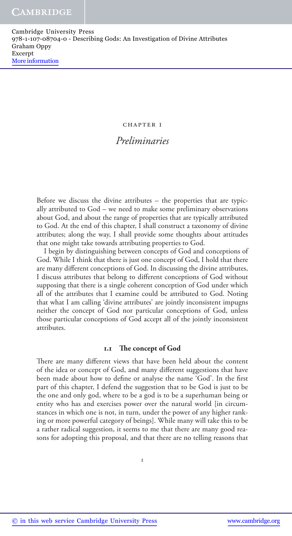CHAPTER I

# *Preliminaries*

 Before we discuss the divine attributes – the properties that are typically attributed to God – we need to make some preliminary observations about God, and about the range of properties that are typically attributed to God. At the end of this chapter, I shall construct a taxonomy of divine attributes; along the way, I shall provide some thoughts about attitudes that one might take towards attributing properties to God.

 I begin by distinguishing between concepts of God and conceptions of God. While I think that there is just one concept of God, I hold that there are many different conceptions of God. In discussing the divine attributes, I discuss attributes that belong to different conceptions of God without supposing that there is a single coherent conception of God under which all of the attributes that I examine could be attributed to God. Noting that what I am calling 'divine attributes' are jointly inconsistent impugns neither the concept of God nor particular conceptions of God, unless those particular conceptions of God accept all of the jointly inconsistent attributes.

#### **1.1** The concept of God

There are many different views that have been held about the content of the idea or concept of God, and many different suggestions that have been made about how to define or analyse the name 'God'. In the first part of this chapter, I defend the suggestion that to be God is just to be the one and only god, where to be a god is to be a superhuman being or entity who has and exercises power over the natural world [in circumstances in which one is not, in turn, under the power of any higher ranking or more powerful category of beings]. While many will take this to be a rather radical suggestion, it seems to me that there are many good reasons for adopting this proposal, and that there are no telling reasons that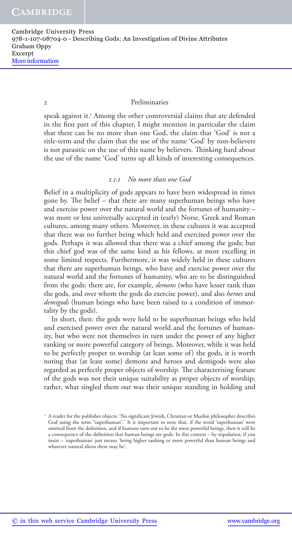speak against it.<sup>1</sup> Among the other controversial claims that are defended in the first part of this chapter, I might mention in particular the claim that there can be no more than one God, the claim that 'God' is not a title-term and the claim that the use of the name 'God' by non-believers is not parasitic on the use of this name by believers. Thinking hard about the use of the name 'God' turns up all kinds of interesting consequences .

# *1.1.1 No more than one God*

 Belief in a multiplicity of gods appears to have been widespread in times gone by. The belief – that there are many superhuman beings who have and exercise power over the natural world and the fortunes of humanity – was more or less universally accepted in (early) Norse, Greek and Roman cultures, among many others. Moreover, in these cultures it was accepted that there was no further being which held and exercised power over the gods. Perhaps it was allowed that there was a chief among the gods; but this chief god was of the same kind as his fellows, at most excelling in some limited respects. Furthermore, it was widely held in these cultures that there are superhuman beings, who have and exercise power over the natural world and the fortunes of humanity, who are to be distinguished from the gods: there are, for example, *demons* (who have lesser rank than the gods, and over whom the gods do exercise power), and also *heroes* and *demigods* (human beings who have been raised to a condition of immortality by the gods).

 In short, then: the gods were held to be superhuman beings who held and exercised power over the natural world and the fortunes of humanity, but who were not themselves in turn under the power of any higher ranking or more powerful category of beings. Moreover, while it was held to be perfectly proper to worship (at least some of) the gods, it is worth noting that (at least some) demons and heroes and demigods were also regarded as perfectly proper objects of worship. The characterising feature of the gods was not their unique suitability as proper objects of worship; rather, what singled them out was their unique standing in holding and

<sup>&</sup>lt;sup>1</sup> A reader for the publisher objects: 'No significant Jewish, Christian or Muslim philosopher describes God using the term "superhuman".' It is important to note that, if the word 'superhuman' were omitted from the definition, and if humans turn out to be the most powerful beings, then it will be a consequence of the definition that human beings are gods. In this context – by stipulation, if you insist – 'superhuman' just means 'being higher ranking or more powerful than human beings and whatever natural aliens there may be'.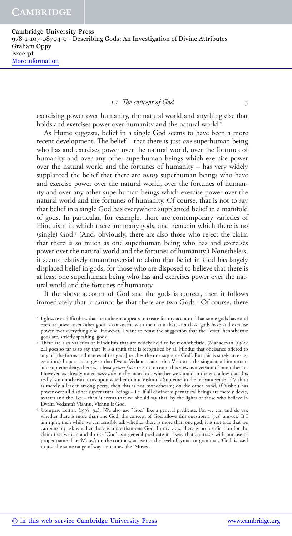exercising power over humanity, the natural world and anything else that holds and exercises power over humanity and the natural world.<sup>2</sup>

 As Hume suggests, belief in a single God seems to have been a more recent development. The belief – that there is just *one* superhuman being who has and exercises power over the natural world, over the fortunes of humanity and over any other superhuman beings which exercise power over the natural world and the fortunes of humanity – has very widely supplanted the belief that there are *many* superhuman beings who have and exercise power over the natural world, over the fortunes of humanity and over any other superhuman beings which exercise power over the natural world and the fortunes of humanity. Of course, that is not to say that belief in a single God has everywhere supplanted belief in a manifold of gods. In particular, for example, there are contemporary varieties of Hinduism in which there are many gods, and hence in which there is no (single) God. 3 (And, obviously, there are also those who reject the claim that there is so much as one superhuman being who has and exercises power over the natural world and the fortunes of humanity.) Nonetheless, it seems relatively uncontroversial to claim that belief in God has largely displaced belief in gods, for those who are disposed to believe that there is at least one superhuman being who has and exercises power over the natural world and the fortunes of humanity.

 If the above account of God and the gods is correct, then it follows immediately that it cannot be that there are two Gods. 4 Of course, there

- <sup>2</sup> I gloss over difficulties that henotheism appears to create for my account. That some gods have and exercise power over other gods is consistent with the claim that, as a class, gods have and exercise power over everything else. However, I want to resist the suggestion that the 'lesser' henotheistic gods are, strictly speaking, gods.
- <sup>3</sup> There are also varieties of Hinduism that are widely held to be monotheistic. (Mahadevan (1960: 24) goes so far as to say that 'it is a truth that is recognised by all Hindus that obeisance offered to any of [the forms and names of the gods] reaches the one supreme God'. But this is surely an exaggeration.) In particular, given that Dvaita Vedanta claims that Vishnu is the singular, all-important and supreme deity, there is at least *prima facie* reason to count this view as a version of monotheism. However, as already noted *inter alia* in the main text, whether we should in the end allow that this really is monotheism turns upon whether or not Vishnu is 'supreme' in the relevant sense. If Vishnu is merely a leader among peers, then this is not monotheism; on the other hand, if Vishnu has power over all distinct supernatural beings – i.e. if all distinct supernatural beings are merely devas, avatars and the like – then it seems that we should say that, by the lights of those who believe in Dvaita Vedanta's Vishnu, Vishnu is God.
- 4 Compare Leftow ( 1998 : 94): 'We also use "God" like a general predicate. For we can and do ask whether there is more than one God: the concept of God allows this question a "yes" answer.' If I am right, then while we can sensibly ask whether there is more than one god, it is not true that we can sensibly ask whether there is more than one God. In my view, there is no justification for the claim that we can and do use 'God' as a general predicate in a way that contrasts with our use of proper names like 'Moses'; on the contrary, at least at the level of syntax or grammar, 'God' is used in just the same range of ways as names like 'Moses'.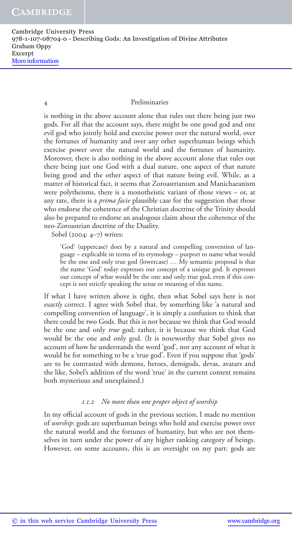Cambridge University Press 978-1-107-08704-0 - Describing Gods: An Investigation of Divine Attributes Graham Oppy Excerpt More information

#### 4 Preliminaries

is nothing in the above account alone that rules out there being just two gods. For all that the account says, there might be one good god and one evil god who jointly hold and exercise power over the natural world, over the fortunes of humanity and over any other superhuman beings which exercise power over the natural world and the fortunes of humanity. Moreover, there is also nothing in the above account alone that rules out there being just one God with a dual nature, one aspect of that nature being good and the other aspect of that nature being evil. While, as a matter of historical fact, it seems that Zoroastrianism and Manichaeanism were polytheisms, there is a monotheistic variant of those views – or, at any rate, there is a *prima facie* plausible case for the suggestion that those who endorse the coherence of the Christian doctrine of the Trinity should also be prepared to endorse an analogous claim about the coherence of the neo-Zoroastrian doctrine of the Duality.

Sobel ( $2004: 4-7$ ) writes:

 'God' (uppercase) does by a natural and compelling convention of language – explicable in terms of its etymology – purport to name what would be the one and only true god (lowercase) ... My semantic proposal is that the name 'God' today expresses our concept of a unique god. It expresses our concept of what would be the one and only true god, even if this concept is not strictly speaking the sense or meaning of this name.

 If what I have written above is right, then what Sobel says here is not *exactly* correct. I agree with Sobel that, by something like 'a natural and compelling convention of language', it is simply a confusion to think that there could be two Gods. But this is not because we think that God would be the one and only *true* god; rather, it is because we think that God would be the one and only god. (It is noteworthy that Sobel gives no account of how he understands the word 'god', nor any account of what it would be for something to be a 'true god'. Even if you suppose that 'gods' are to be contrasted with demons, heroes, demigods, devas, avatars and the like, Sobel's addition of the word 'true' in the current context remains both mysterious and unexplained. )

#### *1.1.2 No more than one proper object of worship*

In my official account of gods in the previous section, I made no mention of *worship* : gods are superhuman beings who hold and exercise power over the natural world and the fortunes of humanity, but who are not themselves in turn under the power of any higher ranking category of beings. However, on some accounts, this is an oversight on my part: gods are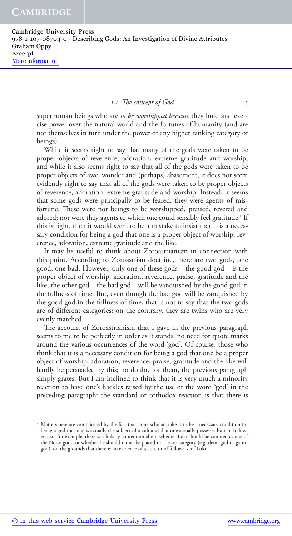superhuman beings who are *to be worshipped because* they hold and exercise power over the natural world and the fortunes of humanity (and are not themselves in turn under the power of any higher ranking category of beings).

 While it seems right to say that many of the gods were taken to be proper objects of reverence, adoration, extreme gratitude and worship, and while it also seems right to say that all of the gods were taken to be proper objects of awe, wonder and (perhaps) abasement, it does not seem evidently right to say that all of the gods were taken to be proper objects of reverence, adoration, extreme gratitude and worship. Instead, it seems that some gods were principally to be feared: they were agents of misfortune. These were not beings to be worshipped, praised, revered and adored; nor were they agents to which one could sensibly feel gratitude.<sup>5</sup> If this is right, then it would seem to be a mistake to insist that it is a necessary condition for being a god that one is a proper object of worship, reverence, adoration, extreme gratitude and the like.

 It may be useful to think about Zoroastrianism in connection with this point. According to Zoroastrian doctrine, there are two gods, one good, one bad. However, only one of these gods – the good god – is the proper object of worship, adoration, reverence, praise, gratitude and the like; the other god – the bad god – will be vanquished by the good god in the fullness of time. But, even though the bad god will be vanquished by the good god in the fullness of time, that is not to say that the two gods are of different categories; on the contrary, they are twins who are very evenly matched.

The account of Zoroastrianism that I gave in the previous paragraph seems to me to be perfectly in order as it stands: no need for quote marks around the various occurrences of the word 'god'. Of course, those who think that it is a necessary condition for being a god that one be a proper object of worship, adoration, reverence, praise, gratitude and the like will hardly be persuaded by this; no doubt, for them, the previous paragraph simply grates. But I am inclined to think that it is very much a minority reaction to have one's hackles raised by the use of the word 'god' in the preceding paragraph: the standard or orthodox reaction is that there is

 5 Matters here are complicated by the fact that some scholars take it to be a necessary condition for being a god that one is actually the subject of a cult and that one actually possesses human followers. So, for example, there is scholarly contention about whether Loki should be counted as one of the Norse gods, or whether he should rather be placed in a lesser category (e.g. demi-god or giantgod), on the grounds that there is no evidence of a cult, or of followers, of Loki.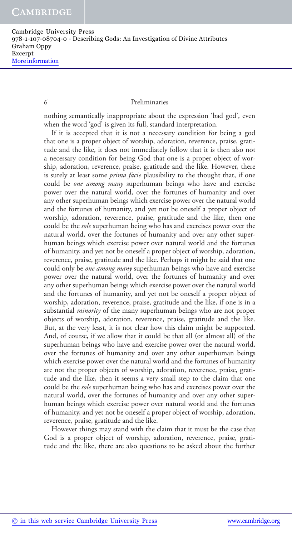nothing semantically inappropriate about the expression 'bad god', even when the word 'god' is given its full, standard interpretation.

 If it is accepted that it is not a necessary condition for being a god that one is a proper object of worship, adoration, reverence, praise, gratitude and the like, it does not immediately follow that it is then also not a necessary condition for being God that one is a proper object of worship, adoration, reverence, praise, gratitude and the like. However, there is surely at least some *prima facie* plausibility to the thought that, if one could be *one among many* superhuman beings who have and exercise power over the natural world, over the fortunes of humanity and over any other superhuman beings which exercise power over the natural world and the fortunes of humanity, and yet not be oneself a proper object of worship, adoration, reverence, praise, gratitude and the like, then one could be the *sole* superhuman being who has and exercises power over the natural world, over the fortunes of humanity and over any other superhuman beings which exercise power over natural world and the fortunes of humanity, and yet not be oneself a proper object of worship, adoration, reverence, praise, gratitude and the like. Perhaps it might be said that one could only be *one among many* superhuman beings who have and exercise power over the natural world, over the fortunes of humanity and over any other superhuman beings which exercise power over the natural world and the fortunes of humanity, and yet not be oneself a proper object of worship, adoration, reverence, praise, gratitude and the like, if one is in a substantial *minority* of the many superhuman beings who are not proper objects of worship, adoration, reverence, praise, gratitude and the like. But, at the very least, it is not clear how this claim might be supported. And, of course, if we allow that it could be that all (or almost all) of the superhuman beings who have and exercise power over the natural world, over the fortunes of humanity and over any other superhuman beings which exercise power over the natural world and the fortunes of humanity are not the proper objects of worship, adoration, reverence, praise, gratitude and the like, then it seems a very small step to the claim that one could be the *sole* superhuman being who has and exercises power over the natural world, over the fortunes of humanity and over any other superhuman beings which exercise power over natural world and the fortunes of humanity, and yet not be oneself a proper object of worship, adoration, reverence, praise, gratitude and the like.

 However things may stand with the claim that it must be the case that God is a proper object of worship, adoration, reverence, praise, gratitude and the like, there are also questions to be asked about the further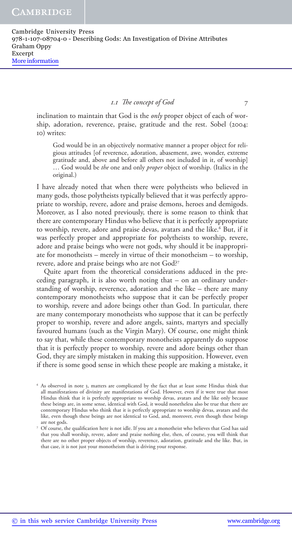inclination to maintain that God is the *only* proper object of each of worship, adoration, reverence, praise, gratitude and the rest. Sobel (2004: 10) writes:

 God would be in an objectively normative manner a proper object for religious attitudes [of reverence, adoration, abasement, awe, wonder, extreme gratitude and, above and before all others not included in it, of worship] … God would be *the* one and only *proper* object of worship. (Italics in the original.)

 I have already noted that when there were polytheists who believed in many gods, those polytheists typically believed that it was perfectly appropriate to worship, revere, adore and praise demons, heroes and demigods. Moreover, as I also noted previously, there is some reason to think that there are contemporary Hindus who believe that it is perfectly appropriate to worship, revere, adore and praise devas, avatars and the like.<sup>6</sup> But, if it was perfectly proper and appropriate for polytheists to worship, revere, adore and praise beings who were not gods, why should it be inappropriate for monotheists – merely in virtue of their monotheism – to worship, revere, adore and praise beings who are not God?7

 Quite apart from the theoretical considerations adduced in the preceding paragraph, it is also worth noting that – on an ordinary understanding of worship, reverence, adoration and the like – there are many contemporary monotheists who suppose that it can be perfectly proper to worship, revere and adore beings other than God. In particular, there are many contemporary monotheists who suppose that it can be perfectly proper to worship, revere and adore angels, saints, martyrs and specially favoured humans (such as the Virgin Mary). Of course, one might think to say that, while these contemporary monotheists apparently do suppose that it is perfectly proper to worship, revere and adore beings other than God, they are simply mistaken in making this supposition. However, even if there is some good sense in which these people are making a mistake, it

<sup>6</sup> As observed in note 3, matters are complicated by the fact that at least some Hindus think that all manifestations of divinity are manifestations of God. However, even if it were true that most Hindus think that it is perfectly appropriate to worship devas, avatars and the like only because these beings are, in some sense, identical with God, it would nonetheless also be true that there are contemporary Hindus who think that it is perfectly appropriate to worship devas, avatars and the like, even though these beings are not identical to God, and, moreover, even though these beings are not gods.

 $7\,$  Of course, the qualification here is not idle. If you are a monotheist who believes that God has said that you shall worship, revere, adore and praise nothing else, then, of course, you will think that there are no other proper objects of worship, reverence, adoration, gratitude and the like. But, in that case, it is not just your monotheism that is driving your response.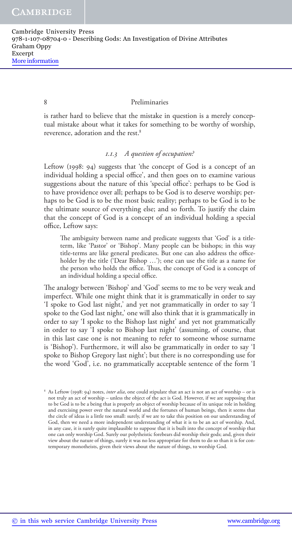is rather hard to believe that the mistake in question is a merely conceptual mistake about what it takes for something to be worthy of worship, reverence, adoration and the rest. 8

## *1.1.3 A question of occupation?*

Leftow ( $1998: 94$ ) suggests that 'the concept of God is a concept of an individual holding a special office', and then goes on to examine various suggestions about the nature of this 'special office': perhaps to be God is to have providence over all; perhaps to be God is to deserve worship; perhaps to be God is to be the most basic reality; perhaps to be God is to be the ultimate source of everything else; and so forth. To justify the claim that the concept of God is a concept of an individual holding a special office, Leftow says:

The ambiguity between name and predicate suggests that 'God' is a titleterm, like 'Pastor' or 'Bishop'. Many people can be bishops; in this way title-terms are like general predicates. But one can also address the officeholder by the title ('Dear Bishop …'); one can use the title as a name for the person who holds the office. Thus, the concept of God is a concept of an individual holding a special office.

The analogy between 'Bishop' and 'God' seems to me to be very weak and imperfect. While one might think that it is grammatically in order to say 'I spoke to God last night,' and yet not grammatically in order to say 'I spoke to the God last night,' one will also think that it is grammatically in order to say 'I spoke to the Bishop last night' and yet not grammatically in order to say 'I spoke to Bishop last night' (assuming, of course, that in this last case one is not meaning to refer to someone whose surname is 'Bishop'). Furthermore, it will also be grammatically in order to say 'I spoke to Bishop Gregory last night'; but there is no corresponding use for the word 'God', i.e. no grammatically acceptable sentence of the form 'I

<sup>&</sup>lt;sup>8</sup> As Leftow (1998: 94) notes, *inter alia*, one could stipulate that an act is not an act of worship – or is not truly an act of worship – unless the object of the act is God. However, if we are supposing that to be God is to be a being that is properly an object of worship because of its unique role in holding and exercising power over the natural world and the fortunes of human beings, then it seems that the circle of ideas is a little too small: surely, if we are to take this position on our understanding of God, then we need a more independent understanding of what it is to be an act of worship. And, in any case, it is surely quite implausible to suppose that it is built into the concept of worship that one can only worship God. Surely our polytheistic forebears did worship their gods; and, given their view about the nature of things, surely it was no less appropriate for them to do so than it is for contemporary monotheists, given their views about the nature of things, to worship God.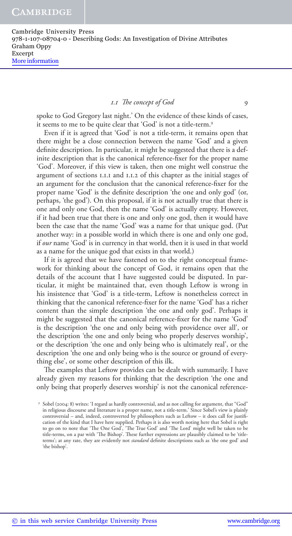spoke to God Gregory last night.' On the evidence of these kinds of cases, it seems to me to be quite clear that 'God' is not a title-term. 9

 Even if it is agreed that 'God' is not a title-term, it remains open that there might be a close connection between the name 'God' and a given definite description. In particular, it might be suggested that there is a definite description that is the canonical reference-fixer for the proper name 'God'. Moreover, if this view is taken, then one might well construe the argument of sections 1.1.1 and 1.1.2 of this chapter as the initial stages of an argument for the conclusion that the canonical reference-fixer for the proper name 'God' is the definite description 'the one and only god' (or, perhaps, 'the god'). On this proposal, if it is not actually true that there is one and only one God, then the name 'God' is actually empty. However, if it had been true that there is one and only one god, then it would have been the case that the name 'God' was a name for that unique god. (Put another way: in a possible world in which there is one and only one god, if *our* name 'God' is in currency in that world, then it is used in that world as a name for the unique god that exists in that world.)

 If it is agreed that we have fastened on to the right conceptual framework for thinking about the concept of God, it remains open that the details of the account that I have suggested could be disputed. In particular, it might be maintained that, even though Leftow is wrong in his insistence that 'God' is a title-term, Leftow is nonetheless correct in thinking that the canonical reference-fixer for the name 'God' has a richer content than the simple description 'the one and only god'. Perhaps it might be suggested that the canonical reference-fixer for the name 'God' is the description 'the one and only being with providence over all', or the description 'the one and only being who properly deserves worship', or the description 'the one and only being who is ultimately real', or the description 'the one and only being who is the source or ground of everything else', or some other description of this ilk.

The examples that Leftow provides can be dealt with summarily. I have already given my reasons for thinking that the description 'the one and only being that properly deserves worship' is not the canonical reference-

 9 Sobel ( 2004 : 8) writes: 'I regard as hardly controversial, and as not calling for argument, that "God" in religious discourse and literature is a proper name, not a title-term.' Since Sobel's view is plainly controversial – and, indeed, controverted by philosophers such as Leftow – it does call for justification of the kind that I have here supplied. Perhaps it is also worth noting here that Sobel is right to go on to note that 'The One God', 'The True God' and 'The Lord' might well be taken to be title-terms, on a par with 'The Bishop'. These further expressions are plausibly claimed to be 'titleterms'; at any rate, they are evidently not *standard* definite descriptions such as 'the one god' and 'the bishop'.